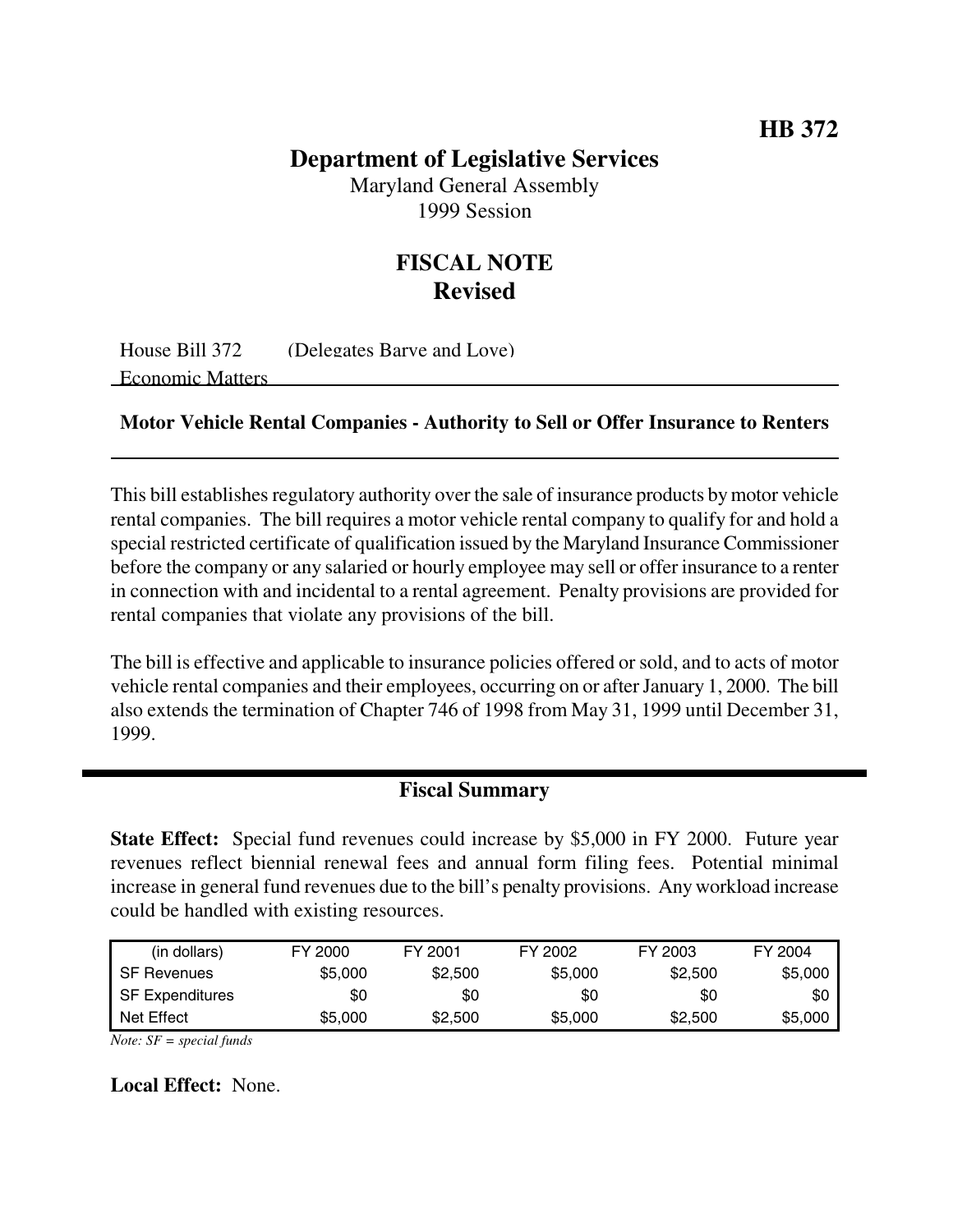# **HB 372**

### **Department of Legislative Services**

Maryland General Assembly 1999 Session

# **FISCAL NOTE Revised**

House Bill 372 (Delegates Barve and Love) Economic Matters

#### **Motor Vehicle Rental Companies - Authority to Sell or Offer Insurance to Renters**

This bill establishes regulatory authority over the sale of insurance products bymotor vehicle rental companies. The bill requires a motor vehicle rental company to qualify for and hold a special restricted certificate of qualification issued by the Maryland Insurance Commissioner before the company or any salaried or hourly employee may sell or offer insurance to a renter in connection with and incidental to a rental agreement. Penalty provisions are provided for rental companies that violate any provisions of the bill.

The bill is effective and applicable to insurance policies offered or sold, and to acts of motor vehicle rental companies and their employees, occurring on or afterJanuary 1, 2000. The bill also extends the termination of Chapter 746 of 1998 from May 31, 1999 until December 31, 1999.

#### **Fiscal Summary**

**State Effect:** Special fund revenues could increase by \$5,000 in FY 2000. Future year revenues reflect biennial renewal fees and annual form filing fees. Potential minimal increase in general fund revenues due to the bill's penalty provisions. Any workload increase could be handled with existing resources.

| (in dollars)       | FY 2000 | FY 2001 | FY 2002 | FY 2003 | FY 2004 |
|--------------------|---------|---------|---------|---------|---------|
| <b>SF Revenues</b> | \$5,000 | \$2,500 | \$5,000 | \$2,500 | \$5,000 |
| SF Expenditures    | \$0     | \$0     | \$0     | \$0     | \$0     |
| Net Effect         | \$5,000 | \$2,500 | \$5,000 | \$2,500 | \$5,000 |

*Note: SF = special funds*

**Local Effect:** None.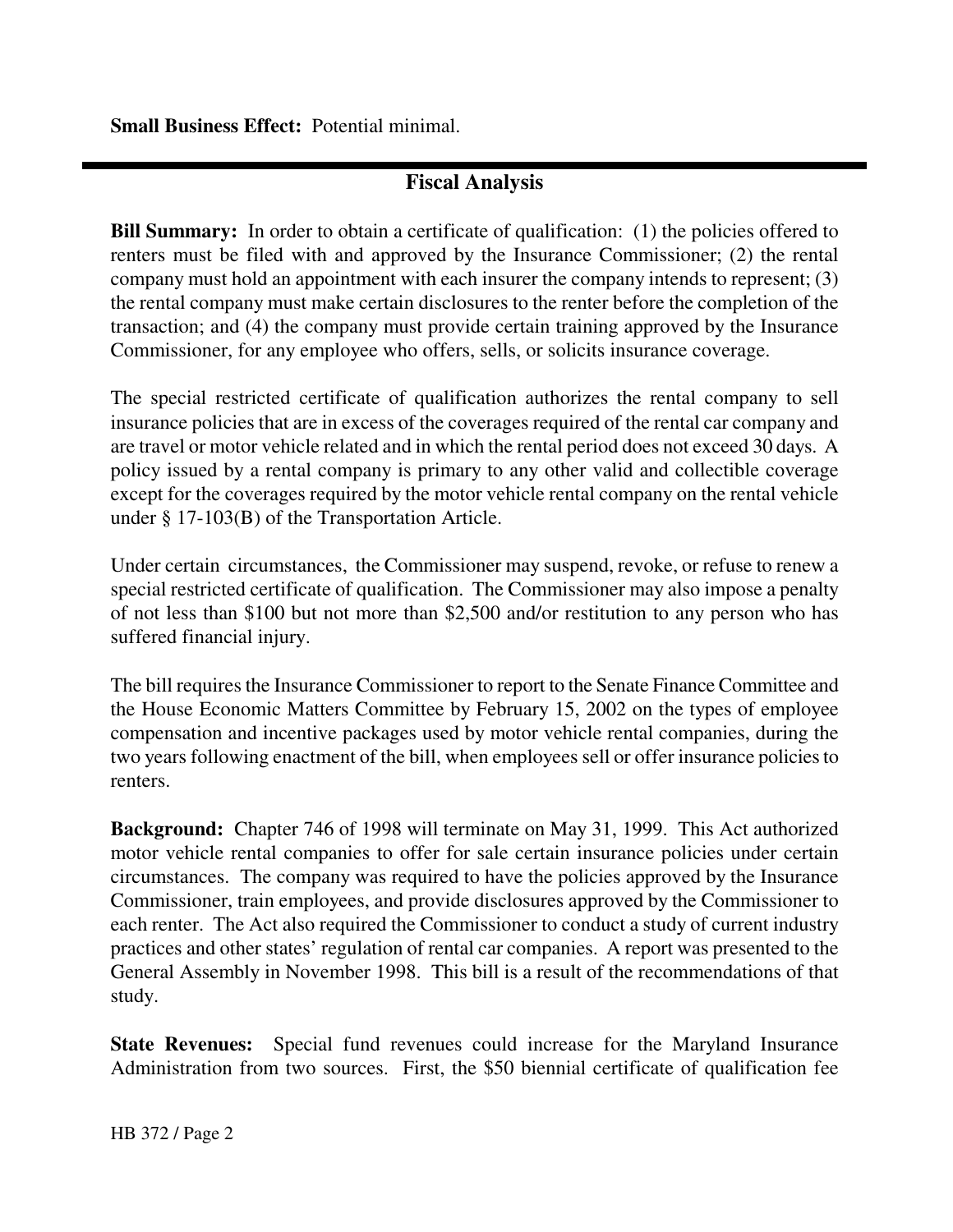**Small Business Effect:** Potential minimal.

# **Fiscal Analysis**

**Bill Summary:** In order to obtain a certificate of qualification: (1) the policies offered to renters must be filed with and approved by the Insurance Commissioner; (2) the rental company must hold an appointment with each insurer the company intends to represent; (3) the rental company must make certain disclosures to the renter before the completion of the transaction; and (4) the company must provide certain training approved by the Insurance Commissioner, for any employee who offers, sells, or solicits insurance coverage.

The special restricted certificate of qualification authorizes the rental company to sell insurance policies that are in excess of the coverages required of the rental car company and are travel or motor vehicle related and in which the rental period does not exceed 30 days. A policy issued by a rental company is primary to any other valid and collectible coverage except for the coverages required by the motor vehicle rental company on the rental vehicle under § 17-103(B) of the Transportation Article.

Under certain circumstances, the Commissioner may suspend, revoke, or refuse to renew a special restricted certificate of qualification. The Commissioner may also impose a penalty of not less than \$100 but not more than \$2,500 and/or restitution to any person who has suffered financial injury.

The bill requires the Insurance Commissioner to report to the Senate Finance Committee and the House Economic Matters Committee by February 15, 2002 on the types of employee compensation and incentive packages used by motor vehicle rental companies, during the two years following enactment of the bill, when employees sell or offer insurance policies to renters.

**Background:** Chapter 746 of 1998 will terminate on May 31, 1999. This Act authorized motor vehicle rental companies to offer for sale certain insurance policies under certain circumstances. The company was required to have the policies approved by the Insurance Commissioner, train employees, and provide disclosures approved by the Commissioner to each renter. The Act also required the Commissioner to conduct a study of current industry practices and other states' regulation of rental car companies. A report was presented to the General Assembly in November 1998. This bill is a result of the recommendations of that study.

**State Revenues:** Special fund revenues could increase for the Maryland Insurance Administration from two sources. First, the \$50 biennial certificate of qualification fee